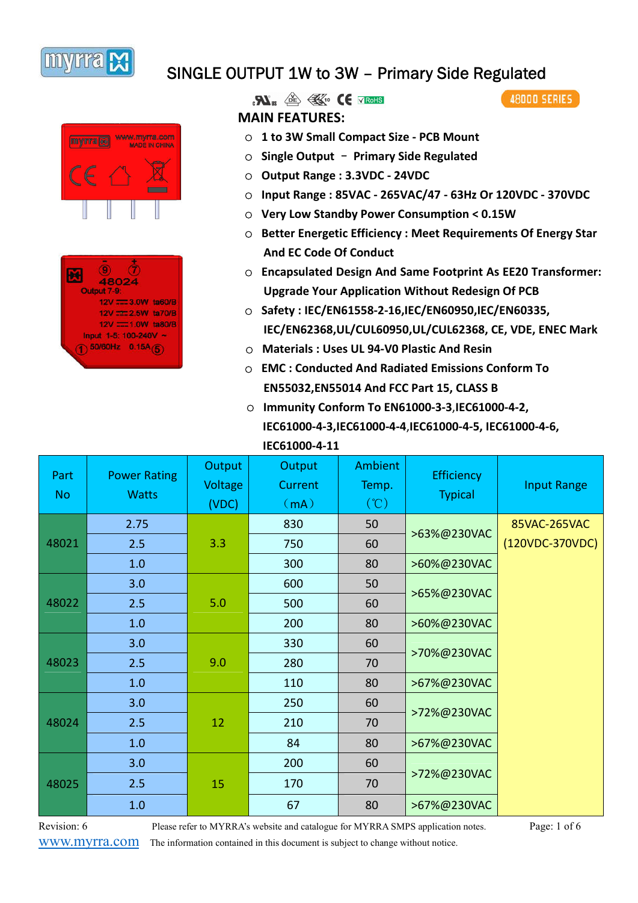





 $\mathbf{R}$   $\mathbf{N}$   $\mathbb{R}$   $\mathbb{R}$   $\mathbb{R}$   $\mathbb{C}$   $\mathbb{C}$   $\mathbb{R}$   $\mathbb{R}$   $\mathbb{R}$ **MAIN FEATURES:**

- **EXECUTE OF A SET AND MONEY IS NOT THE STATE OF THE STATE OF THE STATE OF THE STATE OF THE STATE OF THE STATE OF THE STATE OF THE STATE OF THE STATE OF THE STATE OF THE STATE OF THE STATE OF THE STATE OF THE STATE OF THE** 
	- ○ **Single Output Primary Side Regulated**
	- ○ **Output Range : 3.3VDC 24VDC**
	- ○ **Input Range : 85VAC 265VAC/47 63Hz Or 120VDC - 370VDC**
	- ○ **Very Low Standby Power Consumption < 0.15W**
	- ○ **Better Energetic Efficiency : Meet Requirements Of Energy Star And EC Code Of Conduct**
- **EN** (9) <sup>(7)</sup> O Encapsulated Design And Same Footprint As EE20 Transformer: **Upgrade Your Application Without Redesign Of PCB** 
	- 12V = 3.0W ta60/B<br>12V = 2.5W ta70/B<br>  $\bigcirc$  C Safety : IEC/EN61558-2-16,IEC/EN60950,IEC/EN60335, **IEC/EN62368,UL/CUL60950,UL/CUL62368, CE, VDE, ENEC Mark**
	- ○ **Materials : Uses UL 94-V0 Plastic And Resin** 
		- ○ **EMC : Conducted And Radiated Emissions Conform To EN55032,EN55014 And FCC Part 15, CLASS B**
		- ○ **Immunity Conform To EN61000-3-3**,**IEC61000-4-2, IEC61000-4-3,IEC61000-4-4**,**IEC61000-4-5, IEC61000-4-6, IEC61000-4-11**

| Part<br><b>No</b> | <b>Power Rating</b><br><b>Watts</b> | Output<br>Voltage<br>(VDC) | Output<br>Current<br>(mA) | <b>Ambient</b><br>Temp.<br>$(\degree C)$ | <b>Efficiency</b><br><b>Typical</b> | <b>Input Range</b> |
|-------------------|-------------------------------------|----------------------------|---------------------------|------------------------------------------|-------------------------------------|--------------------|
|                   | 2.75                                |                            | 830                       | 50                                       |                                     | 85VAC-265VAC       |
| 48021             | 2.5                                 | 3.3                        | 750                       | 60                                       | >63%@230VAC                         | (120VDC-370VDC)    |
|                   | 1.0                                 |                            | 300                       | 80                                       | >60%@230VAC                         |                    |
| 48022             | 3.0                                 | 5.0                        | 600                       | 50                                       | >65%@230VAC                         |                    |
|                   | 2.5                                 |                            | 500                       | 60                                       |                                     |                    |
|                   | 1.0                                 |                            | 200                       | 80                                       | >60%@230VAC                         |                    |
|                   | 3.0                                 | 9.0                        | 330                       | 60                                       | >70%@230VAC                         |                    |
| 48023             | 2.5                                 |                            | 280                       | 70                                       |                                     |                    |
|                   | 1.0                                 |                            | 110                       | 80                                       | >67%@230VAC                         |                    |
| 48024             | 3.0                                 |                            | 250                       | 60                                       | >72%@230VAC                         |                    |
|                   | 2.5                                 | 12                         | 210                       | 70                                       |                                     |                    |
|                   | 1.0                                 |                            | 84                        | 80                                       | >67%@230VAC                         |                    |
| 48025             | 3.0                                 |                            | 200                       | 60                                       |                                     |                    |
|                   | 2.5<br>15                           | 170                        | 70                        | >72%@230VAC                              |                                     |                    |
|                   | 1.0                                 |                            | 67                        | 80                                       | >67%@230VAC                         |                    |

www.myrra.com The information contained in this document is subject to change without notice.

Revision: 6 Please refer to MYRRA's website and catalogue for MYRRA SMPS application notes. Page: 1 of 6

**48000 SERIES**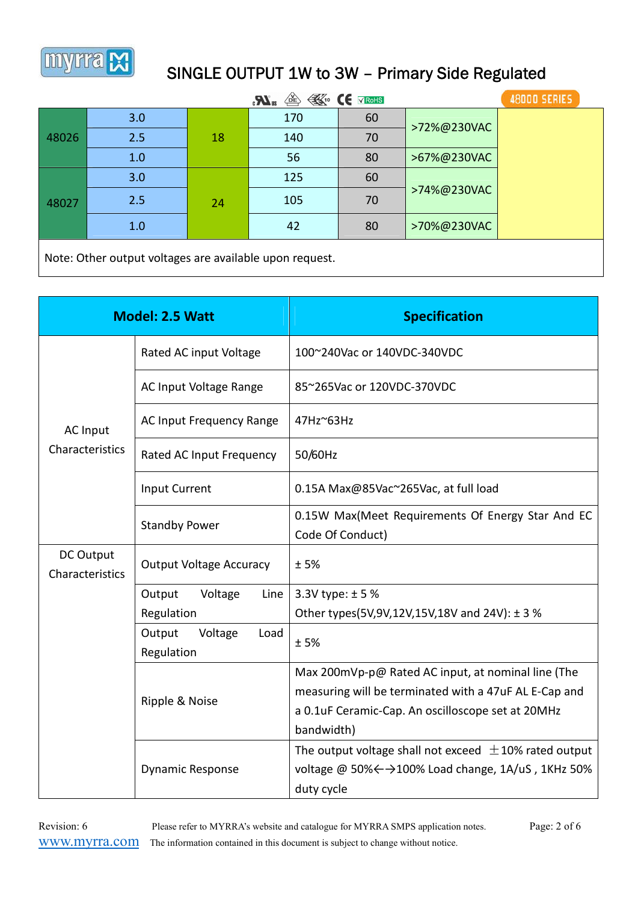

| <sup><sup><sup>1</sup></sup> <b><i><u>CE</u></i></b> v RoHS</sup><br>$\boldsymbol{K}_3$ |     |    |     |    | 48000 SERIES |  |  |
|-----------------------------------------------------------------------------------------|-----|----|-----|----|--------------|--|--|
|                                                                                         | 3.0 |    | 170 | 60 | >72%@230VAC  |  |  |
| 48026                                                                                   | 2.5 | 18 | 140 | 70 |              |  |  |
|                                                                                         | 1.0 |    | 56  | 80 | >67%@230VAC  |  |  |
| 48027                                                                                   | 3.0 | 24 | 125 | 60 | >74%@230VAC  |  |  |
|                                                                                         | 2.5 |    | 105 | 70 |              |  |  |
|                                                                                         | 1.0 |    | 42  | 80 | >70%@230VAC  |  |  |
| Note: Other output voltages are available upon request.                                 |     |    |     |    |              |  |  |

|                                    | <b>Model: 2.5 Watt</b>                  | <b>Specification</b>                                                                                                                                                           |
|------------------------------------|-----------------------------------------|--------------------------------------------------------------------------------------------------------------------------------------------------------------------------------|
|                                    | Rated AC input Voltage                  | 100~240Vac or 140VDC-340VDC                                                                                                                                                    |
| <b>AC Input</b><br>Characteristics | AC Input Voltage Range                  | 85~265Vac or 120VDC-370VDC                                                                                                                                                     |
|                                    | AC Input Frequency Range                | 47Hz~63Hz                                                                                                                                                                      |
|                                    | Rated AC Input Frequency                | 50/60Hz                                                                                                                                                                        |
|                                    | <b>Input Current</b>                    | 0.15A Max@85Vac~265Vac, at full load                                                                                                                                           |
|                                    | <b>Standby Power</b>                    | 0.15W Max(Meet Requirements Of Energy Star And EC<br>Code Of Conduct)                                                                                                          |
| DC Output<br>Characteristics       | <b>Output Voltage Accuracy</b>          | ±5%                                                                                                                                                                            |
|                                    | Output<br>Voltage<br>Line               | 3.3V type: $± 5%$                                                                                                                                                              |
|                                    | Regulation                              | Other types(5V,9V,12V,15V,18V and 24V): $\pm$ 3 %                                                                                                                              |
|                                    | Output<br>Voltage<br>Load<br>Regulation | ±5%                                                                                                                                                                            |
|                                    | Ripple & Noise                          | Max 200mVp-p@ Rated AC input, at nominal line (The<br>measuring will be terminated with a 47uF AL E-Cap and<br>a 0.1uF Ceramic-Cap. An oscilloscope set at 20MHz<br>bandwidth) |
|                                    | <b>Dynamic Response</b>                 | The output voltage shall not exceed $\pm$ 10% rated output<br>voltage @ 50% < → 100% Load change, 1A/uS, 1KHz 50%<br>duty cycle                                                |

Revision: 6 Please refer to MYRRA's website and catalogue for MYRRA SMPS application notes. Page: 2 of 6 www.myrra.com The information contained in this document is subject to change without notice.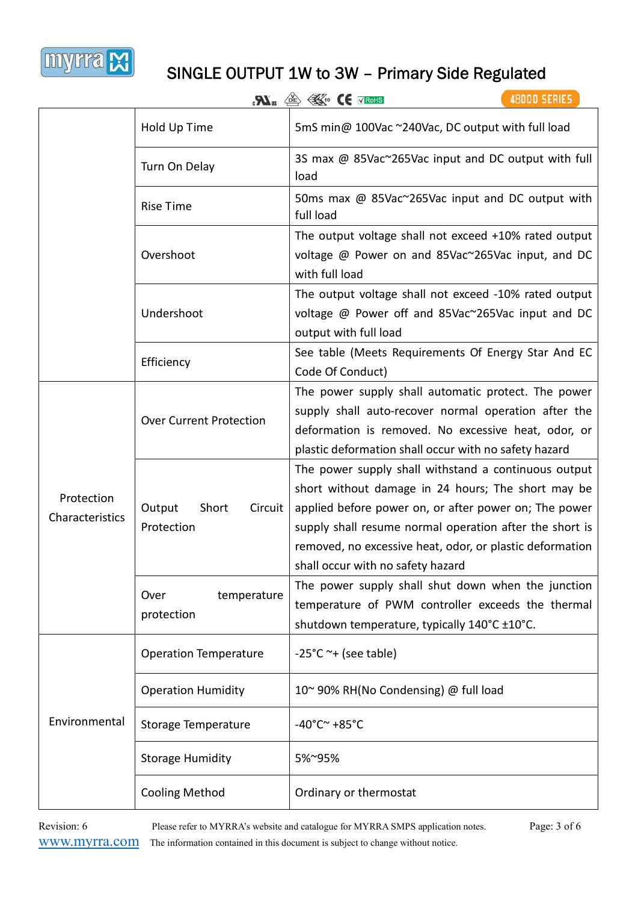

|                               |                                          | 48000 SERIES<br>$\mathbf{R}$ <sub>u</sub> $\mathbb{E}$ $\mathbb{E}$ $\mathbb{E}$ $\mathbb{E}$ $\mathbb{E}$ $\mathbb{E}$ $\mathbb{E}$ $\mathbb{E}$ $\mathbb{E}$                                                                                                                                                                  |
|-------------------------------|------------------------------------------|---------------------------------------------------------------------------------------------------------------------------------------------------------------------------------------------------------------------------------------------------------------------------------------------------------------------------------|
|                               | Hold Up Time                             | 5mS min@ 100Vac ~240Vac, DC output with full load                                                                                                                                                                                                                                                                               |
|                               | Turn On Delay                            | 3S max @ 85Vac~265Vac input and DC output with full<br>load                                                                                                                                                                                                                                                                     |
|                               | <b>Rise Time</b>                         | 50ms max @ 85Vac~265Vac input and DC output with<br>full load                                                                                                                                                                                                                                                                   |
|                               | Overshoot                                | The output voltage shall not exceed +10% rated output<br>voltage @ Power on and 85Vac~265Vac input, and DC<br>with full load                                                                                                                                                                                                    |
|                               | Undershoot                               | The output voltage shall not exceed -10% rated output<br>voltage @ Power off and 85Vac~265Vac input and DC<br>output with full load                                                                                                                                                                                             |
|                               | Efficiency                               | See table (Meets Requirements Of Energy Star And EC<br>Code Of Conduct)                                                                                                                                                                                                                                                         |
| Protection<br>Characteristics | <b>Over Current Protection</b>           | The power supply shall automatic protect. The power<br>supply shall auto-recover normal operation after the<br>deformation is removed. No excessive heat, odor, or<br>plastic deformation shall occur with no safety hazard                                                                                                     |
|                               | Output<br>Short<br>Circuit<br>Protection | The power supply shall withstand a continuous output<br>short without damage in 24 hours; The short may be<br>applied before power on, or after power on; The power<br>supply shall resume normal operation after the short is<br>removed, no excessive heat, odor, or plastic deformation<br>shall occur with no safety hazard |
|                               | temperature<br>Over<br>protection        | The power supply shall shut down when the junction<br>temperature of PWM controller exceeds the thermal<br>shutdown temperature, typically 140°C ±10°C.                                                                                                                                                                         |
|                               | <b>Operation Temperature</b>             | $-25^{\circ}$ C ~+ (see table)                                                                                                                                                                                                                                                                                                  |
|                               | <b>Operation Humidity</b>                | 10~90% RH(No Condensing) @ full load                                                                                                                                                                                                                                                                                            |
| Environmental                 | <b>Storage Temperature</b>               | $-40^{\circ}$ C $\sim$ +85 $^{\circ}$ C                                                                                                                                                                                                                                                                                         |
|                               | <b>Storage Humidity</b>                  | 5%~95%                                                                                                                                                                                                                                                                                                                          |
|                               | <b>Cooling Method</b>                    | Ordinary or thermostat                                                                                                                                                                                                                                                                                                          |

Revision: 6 Please refer to MYRRA's website and catalogue for MYRRA SMPS application notes. Page: 3 of 6 www.myrra.com The information contained in this document is subject to change without notice.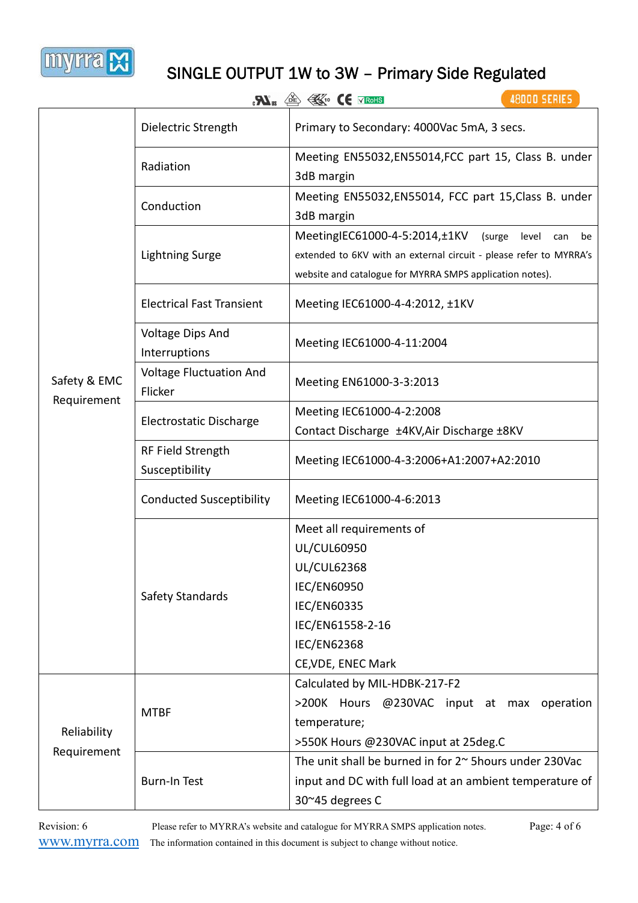

|              |                                                                     | 48000 SERIES<br>$\mathbf{R}_{\text{us}}$ $\text{in}$ $\mathbb{R}_{\text{in}}$ (E $\times$ Rohs                                                                                                |  |  |  |
|--------------|---------------------------------------------------------------------|-----------------------------------------------------------------------------------------------------------------------------------------------------------------------------------------------|--|--|--|
|              | Dielectric Strength                                                 | Primary to Secondary: 4000Vac 5mA, 3 secs.                                                                                                                                                    |  |  |  |
|              | Radiation                                                           | Meeting EN55032, EN55014, FCC part 15, Class B. under<br>3dB margin                                                                                                                           |  |  |  |
|              | Conduction                                                          | Meeting EN55032, EN55014, FCC part 15, Class B. under<br>3dB margin                                                                                                                           |  |  |  |
|              | <b>Lightning Surge</b>                                              | MeetingIEC61000-4-5:2014, ±1KV (surge<br>level<br>be<br>can<br>extended to 6KV with an external circuit - please refer to MYRRA's<br>website and catalogue for MYRRA SMPS application notes). |  |  |  |
|              | <b>Electrical Fast Transient</b><br>Meeting IEC61000-4-4:2012, ±1KV |                                                                                                                                                                                               |  |  |  |
|              | Voltage Dips And<br>Interruptions                                   | Meeting IEC61000-4-11:2004                                                                                                                                                                    |  |  |  |
| Safety & EMC | <b>Voltage Fluctuation And</b><br>Flicker                           | Meeting EN61000-3-3:2013                                                                                                                                                                      |  |  |  |
| Requirement  | Electrostatic Discharge                                             | Meeting IEC61000-4-2:2008<br>Contact Discharge ±4KV, Air Discharge ±8KV                                                                                                                       |  |  |  |
|              | RF Field Strength<br>Susceptibility                                 | Meeting IEC61000-4-3:2006+A1:2007+A2:2010                                                                                                                                                     |  |  |  |
|              | <b>Conducted Susceptibility</b>                                     | Meeting IEC61000-4-6:2013                                                                                                                                                                     |  |  |  |
|              | Safety Standards                                                    | Meet all requirements of<br><b>UL/CUL60950</b><br><b>UL/CUL62368</b><br><b>IEC/EN60950</b>                                                                                                    |  |  |  |
|              |                                                                     | <b>IEC/EN60335</b><br>IEC/EN61558-2-16<br><b>IEC/EN62368</b><br>CE, VDE, ENEC Mark                                                                                                            |  |  |  |
| Reliability  | <b>MTBF</b>                                                         | Calculated by MIL-HDBK-217-F2<br>>200K Hours @230VAC input at max operation<br>temperature;<br>>550K Hours @230VAC input at 25deg.C                                                           |  |  |  |
| Requirement  | <b>Burn-In Test</b>                                                 | The unit shall be burned in for 2~ 5 hours under 230 Vac<br>input and DC with full load at an ambient temperature of<br>30~45 degrees C                                                       |  |  |  |

Revision: 6 Please refer to MYRRA's website and catalogue for MYRRA SMPS application notes. Page: 4 of 6 www.myrra.com The information contained in this document is subject to change without notice.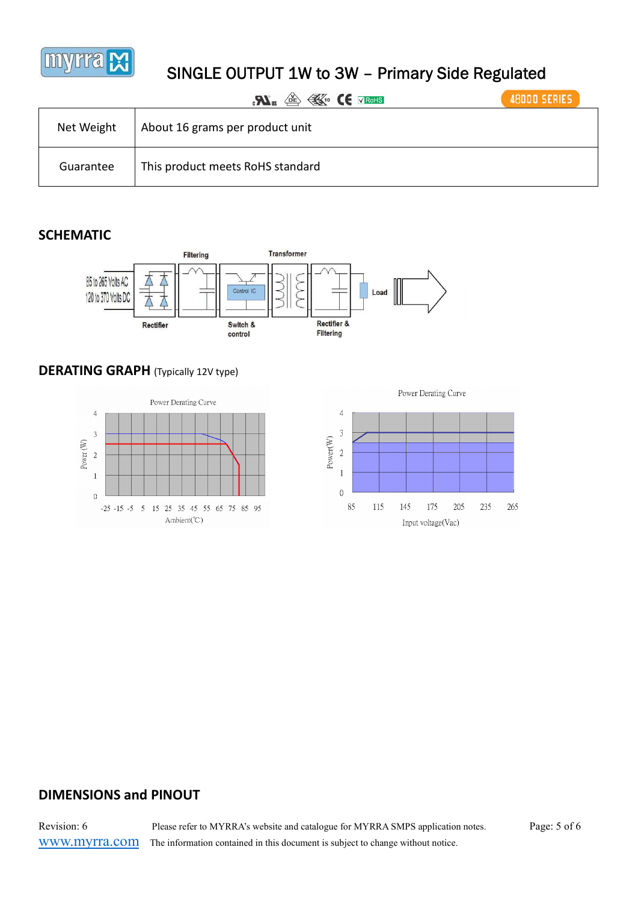

|            | <b>BED FEW CE VROHS</b><br>$\mathbf{Z}$ | <b>48000 SERIES</b> |
|------------|-----------------------------------------|---------------------|
| Net Weight | About 16 grams per product unit         |                     |
| Guarantee  | This product meets RoHS standard        |                     |

#### **SCHEMATIC**



#### **DERATING GRAPH** (Typically 12V type)





#### **DIMENSIONS and PINOUT**

Revision: 6 Please refer to MYRRA's website and catalogue for MYRRA SMPS application notes. Page: 5 of 6 www.myrra.com The information contained in this document is subject to change without notice.